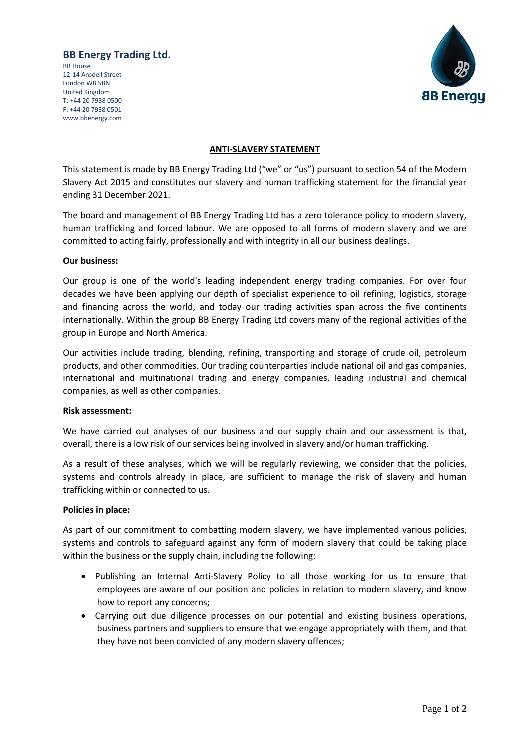# **BB Energy Trading Ltd.**

BB House 12-14 Ansdell Street London W8 5BN United Kingdom T: +44 20 7938 0500 F: +44 20 7938 0501 www.bbenergy.com



### **ANTI-SLAVERY STATEMENT**

This statement is made by BB Energy Trading Ltd ("we" or "us") pursuant to section 54 of the Modern Slavery Act 2015 and constitutes our slavery and human trafficking statement for the financial year ending 31 December 2021.

The board and management of BB Energy Trading Ltd has a zero tolerance policy to modern slavery, human trafficking and forced labour. We are opposed to all forms of modern slavery and we are committed to acting fairly, professionally and with integrity in all our business dealings.

#### **Our business:**

Our group is one of the world's leading independent energy trading companies. For over four decades we have been applying our depth of specialist experience to oil refining, logistics, storage and financing across the world, and today our trading activities span across the five continents internationally. Within the group BB Energy Trading Ltd covers many of the regional activities of the group in Europe and North America.

Our activities include trading, blending, refining, transporting and storage of crude oil, petroleum products, and other commodities. Our trading counterparties include national oil and gas companies, international and multinational trading and energy companies, leading industrial and chemical companies, as well as other companies.

#### **Risk assessment:**

We have carried out analyses of our business and our supply chain and our assessment is that, overall, there is a low risk of our services being involved in slavery and/or human trafficking.

As a result of these analyses, which we will be regularly reviewing, we consider that the policies, systems and controls already in place, are sufficient to manage the risk of slavery and human trafficking within or connected to us.

#### **Policies in place:**

As part of our commitment to combatting modern slavery, we have implemented various policies, systems and controls to safeguard against any form of modern slavery that could be taking place within the business or the supply chain, including the following:

- Publishing an Internal Anti-Slavery Policy to all those working for us to ensure that employees are aware of our position and policies in relation to modern slavery, and know how to report any concerns;
- Carrying out due diligence processes on our potential and existing business operations, business partners and suppliers to ensure that we engage appropriately with them, and that they have not been convicted of any modern slavery offences;